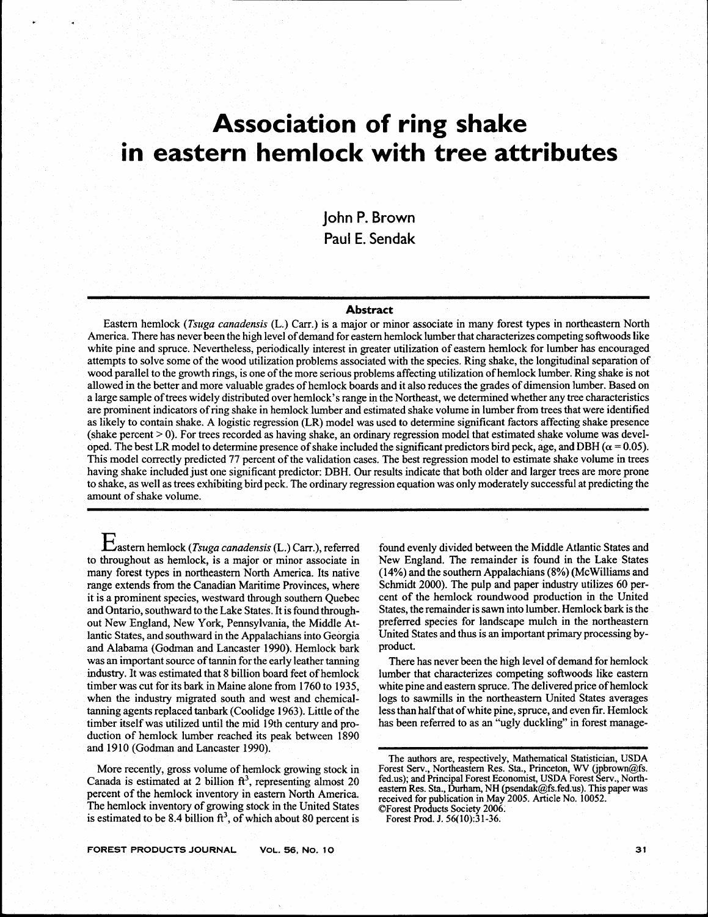# **Association of ring shake in eastern hemlock with tree attributes**

**john P. Brown**  Paul **E. Sendak** 

# **Abstract**

Eastern hemlock *(Tstrga canadensis* (L.) **Carr.)** is a major or minor associate in many forest types in northeastern North America. There has never been the high level of demand for eastern hemlock lumber that characterizes competing softwoods like white pine and spruce. Nevertheless, periodically interest in greater utilization of eastern hemlock for lumber has encouraged attempts to solve some of the wood utilization problems associated with the species. Ring shake, the longitudinal separation of wood parallel to the growth rings, is one of the more serious problems affecting utilization of hemlock lumber. Ring shake is not allowed in the better and more valuable grades of hemlock boards and it also reduces the grades of dimension lumber. Based on a large sample of trees widely distributed over hemlock's range in the Northeast, we determined whether any tree characteristics are prominent indicators of ring shake in hemlock lumber and estimated shake volume in lumber from trees that were identified as likely to contain shake. A logistic regression (LR) model was used to determine significant factors affecting shake presence  $(s)$  (shake percent  $> 0$ ). For trees recorded as having shake, an ordinary regression model that estimated shake volume was developed. The best LR model to determine presence of shake included the significant predictors bird peck, age, and DBH ( $\alpha$  = 0.05). This model correctly predicted 77 percent of the validation cases. The best regression model to estimate shake volume in trees having shake included just one significant predictor: DBH. Our results indicate that both older and larger trees are more prone to shake, as well as trees exhibiting bird peck. The ordinary regression equation was only moderately successful at predicting the amount of shake volume.

Eastern hemlock *(Tsuga conadensis* **(L** .) **Carr.),** referred to throughout as hemlock, is a major or minor associate in many forest types in northeastern North America. Its native range extends from the Canadian Maritime Provinces, where it is a prominent species, westward through southern Quebec and Ontario, southward to the Lake States. It is found throughout New England, New York, Pennsylvania, the Middle Atlantic States, and southward in the Appalachians into Georgia and Alabama (Godrnan and Lancaster 1990). Hemlock bark was an important source of tannin for the early leather tanning industry. It was estimated that 8 billion board feet of hemlock timber was cut for its bark in Maine alone from 1760 to 1935, when the industry migrated south and west and chemical-<br>tanning agents replaced tanbark (Coolidge 1963). Little of the tanning agents replaced tanbark (Coolidge 1963). Little of the<br>timber itself was utilized until the mid 19th century and pro-<br>duction of hemlock lumber reached its neak between 1890 duction of hemlock lumber reached its peak between 1890 and 1910 (Godman and Lancaster 1990).

> More recently, gross volume of hemlock growing stock in Canada is estimated at 2 billion  $ft^3$ , representing almost 20 percent of the hemlock inventory in eastern North America. The hemlock inventory of growing stock in the United States is estimated to be 8.4 billion  $ft^3$ , of which about 80 percent is

found evenly divided between the Middle Atlantic States and New England. The remainder is found in the Lake States (14%) and the southern Appalachians (8%) (McWilliams and Schmidt 2000). The pulp and paper industry utilizes 60 percent of the hemlock roundwood production in the United States, the remainder is sawn into lumber. Hemlock bark is the preferred species for landscape mulch in the northeastern United States and thus is an important primary processing byproduct.

There has never been the high level of demand for hemlock lumber that characterizes competing softwoods like eastern white pine and eastern spruce. The delivered price of hemlock logs to sawmills in the northeastern United States averages less than half that of white pine, spruce, and even **fir.** Hemlock has been referred to as an "ugly duckling" in forest manage-

**The authors are, respectively, Mathematical Statistician, USDA Forest Serv., Northeastern Res. Sta., Princeton, WV (jpbrown@fs. fed-us); and Principal Forest Economist, USDA Forest Serv., Northeastern Res. Sta., Durham, NH (psendak@fs.fed.us). This paper was received for publication in May 2005. Article No. 10052. OForest Products Society 2006.** 

**Forest Prod. J. 56( 10):3** 1-36.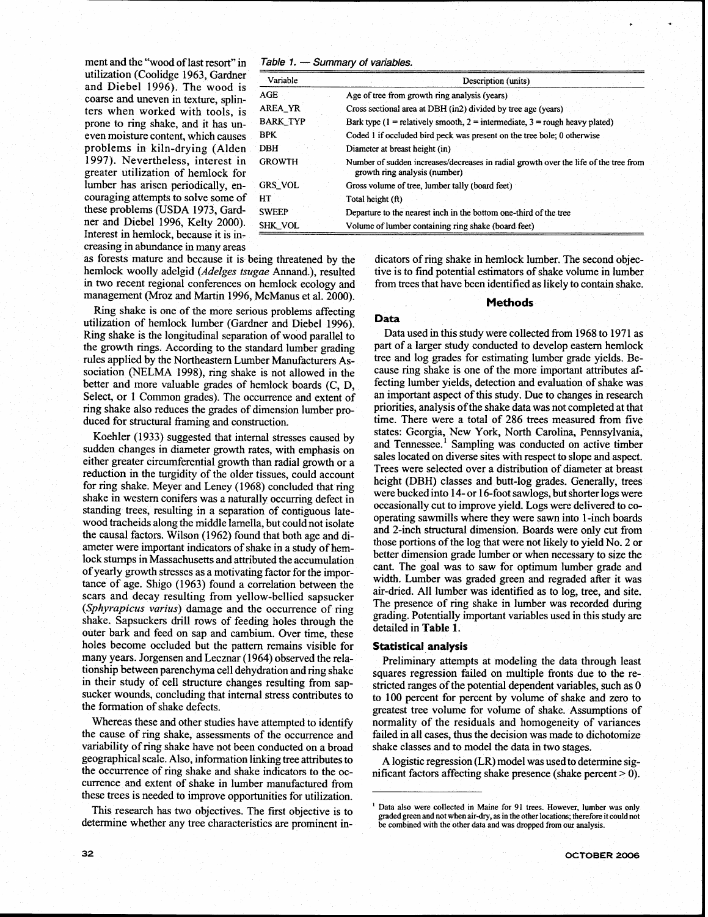ment and the "wood of last resort" in **Table 1.** — Summary of variables.<br>
utilization (Coolidge 1963, Gardner and Diebel 1996). The wood is coarse and uneven in texture, splinters when worked with tools, is prone to ring shake, and it has un $b$  even moisture content, which causes problems in kiln-drying (Alden 1997). Nevertheless, interest in greater utilization of hemlock for lumber has arisen periodically, encouraging attempts to solve some of these problems (USDA 1973, Gardner and Diebel 1996, Kelty 2000). Interest in hemlock, because it is increasing in abundance in many areas

| Variable | Description (units)                                                                                                   |  |  |  |  |  |  |
|----------|-----------------------------------------------------------------------------------------------------------------------|--|--|--|--|--|--|
| AGE.     | Age of tree from growth ring analysis (years)                                                                         |  |  |  |  |  |  |
| AREA_YR  | Cross sectional area at DBH (in2) divided by tree age (years)                                                         |  |  |  |  |  |  |
| BARK TYP | Bark type (1 = relatively smooth, 2 = intermediate, $3$ = rough heavy plated)                                         |  |  |  |  |  |  |
| BPK.     | Coded 1 if occluded bird peck was present on the tree bole; 0 otherwise                                               |  |  |  |  |  |  |
| DBH      | Diameter at breast height (in)                                                                                        |  |  |  |  |  |  |
| GROWTH   | Number of sudden increases/decreases in radial growth over the life of the tree from<br>growth ring analysis (number) |  |  |  |  |  |  |
| GRS VOL  | Gross volume of tree, lumber tally (board feet)                                                                       |  |  |  |  |  |  |
| HT       | Total height (ft)                                                                                                     |  |  |  |  |  |  |
| SWEEP    | Departure to the nearest inch in the bottom one-third of the tree                                                     |  |  |  |  |  |  |
| SHK VOL  | Volume of lumber containing ring shake (board feet)                                                                   |  |  |  |  |  |  |
|          |                                                                                                                       |  |  |  |  |  |  |

hemlock woolly adelgid (*Adelges tsugae* Annand.), resulted tive is to find potential estimators of shake volume in lumber<br>in two recent regional conferences on hemlock ecology and from trees that have been identified as l management (Mroz and Martin 1996, McManus et al. 2000).

Ring shake is one of the more serious problems affecting utilization of hemlock lumber (Gardner and Diebel 1996). **Data**  Ring shake is the longitudinal separation of wood parallel to Data used in this study were collected from 1968 to 1971 as the growth rings. According to the standard lumber grading part of a larger study conducted to devel the growth rings. According to the standard lumber grading rules applied by the Northeastern Lumber Manufacturers Association (NELMA 1998), ring shake is not allowed in the cause ring shake is one of the more important attributes af-<br>better and more valuable grades of bemlock boards  $(C, D)$  fecting lumber vields, detection and evaluatio better and more valuable grades of hemlock boards **(C, D,** fecting lumber yields, detection and evaluation of shake was<br>Select, or 1 Common grades). The occurrence and extent of an important aspect of this study. Due to ch Select, or 1 Common grades). The occurrence and extent of an important aspect of this study. Due to changes in research ring shake also reduces the grades of dimension lumber pro-<br>priorities, analysis of the shake data was ring shake also reduces the grades of dimension lumber pro-<br>duced for structural framing and construction.

Koehler (1933) suggested that internal stresses caused by<br>states: Georgia, 1989 Tonk, 1901 Carolina, Fennsylvania,<br>states and Tennessee.<sup>1</sup> Sampling was conducted on active timber<br>either greater circumferential growth than reduction in the turgidity of the older tissues, could account<br>for ring shake. Meyer and Leney (1968) concluded that ring<br>the state of the oriental distribution of diameter at breast heating<br>the state of the state of the s scars and decay resulting from yellow-bellied sapsucker Sears and decay resulting from yenow-benied sapsucket<br>(Sphyrapicus varius) damage and the occurrence of ring shake in lumber was recorded during<br>shake. Songwariate and the summer of feeding alternative strength of the stud shake. Sapsuckers drill rows of feeding holes through the grading. Potentially outer bark and feed on sap and cambium. Over time, these detailed in **Table 1**. holes become occluded but the pattern remains visible for **Statistical analysis** many years. Jorgensen and Lecznar (1964) observed the rela-<br>**Preliminary attemnt** many years. Jorgensen and Lecznar (1964) observed the rela-<br>tionship between parenchyma cell dehydration and ring shake<br>soughts regression failed on multiple fronts due to the retionship between parenchyma cell dehydration and ring shake squares regression failed on multiple fronts due to the re-<br>in their study of cell structure changes resulting from sap-<br>stricted ranges of the potential dependen in their study of cell structure changes resulting from sap-<br>stricted ranges of the potential dependent variables, such as 0<br>sucker wounds, concluding that internal stress contributes to<br> $\frac{100}{2}$  percent for percent by sucker wounds, concluding that internal stress contributes to to 100 percent for percent by volume of shake and zero to the formation of shake defects.

Whereas these and other studies have attempted to identify normality of the residuals and homogeneity of variances the cause of ring shake, assessments of the occurrence and failed in all cases, thus the decision was made variability of ring shake have not been conducted on a broad geographical scale. Also, information linking tree attributes to geographical scale. Also, information linking tree attributes to A logistic regression (LR) model was used to determine sig-<br>the occurrence of ring shake and shake indicators to the oc-<br>inficant factors affecting shake pre currence and extent of shake in lumber manufactured from these trees is needed to improve opportunities for utilization.

determine whether any tree characteristics are prominent in- **be combined with the other data and was dropped from our analysis.** 

as forests mature and because it is being threatened by the dicators of ring shake in hemlock lumber. The second objec-<br>hemlock woolly adelgid (*Adelges tsugge* Annand.), resulted tive is to find potential estimators of sh from trees that have been identified as likely to contain shake.

**C**\* C\* C\* C\*

tree and log grades for estimating lumber grade yields. Be- cause ring shake is one of the more important attributes aftime. There were a total of 286 trees measured from five states: Georgia, New York, North Carolina, Pennsylvania, Corring shake. Meyer and Leney (1968) concluded that ring<br>for ring shake. Meyer and Leney (1968) concluded that ring<br>shake in western conifers was a naturally occurring defect in<br>tanding trees, resulting in a separation of

greatest tree volume for volume of shake. Assumptions of failed in all cases, thus the decision was made to dichotomize shake classes and to model the data in two stages.

This research has two objectives. The first objective is to <sup>1</sup> Data also were collected in Maine for 91 trees. However, lumber was only **graded green and not when air-dry, as in the other locations; therefore it could not**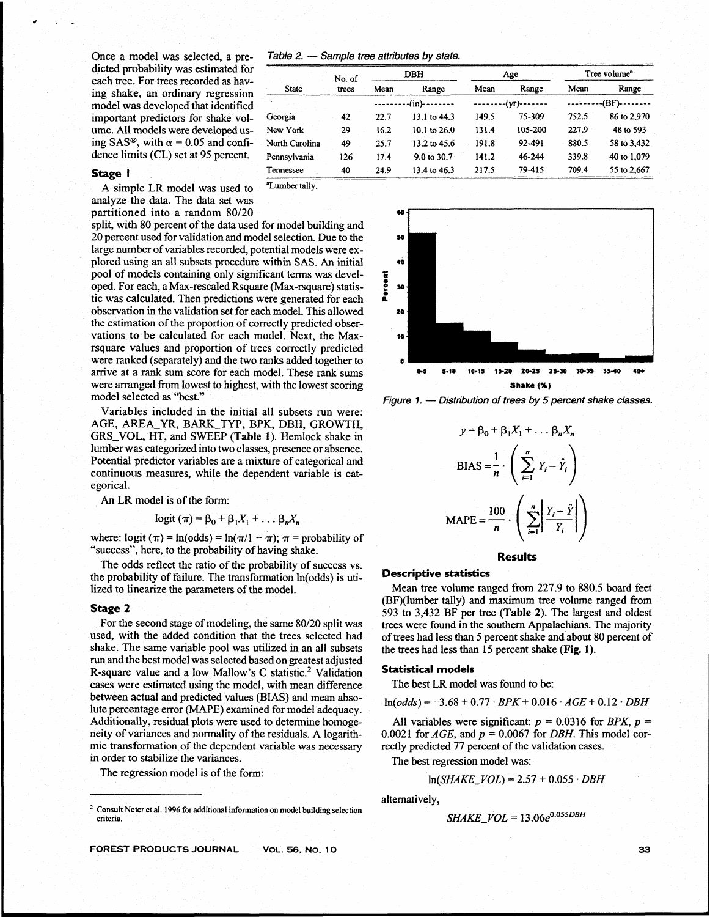dicted probability was estimated for each tree. For trees recorded as having shake, an ordinary regression model was developed that identified **--------din)** -------- -------- **(y)------- ---------(BF)-------**  important predictors for shake volume. All models were developed using SAS<sup>®</sup>, with  $\alpha = 0.05$  and confi- N dence limits (CL) set at 95 percent. **P** 

A simple LR model was used to <sup>aLumber tally.</sup> analyze the data. The data set was partitioned into a random 80/20

split, with **80** percent of the data used for model building and **20** percent used for validation and model selection. Due to the **so**  large number of variables recorded, potential models were explored using **an** all subsets procedure within SAS. An initial **10**  pool of models containing only significant terms was devel-<br>oped. For each, a Max-rescaled Rsquare (Max-rsquare) statis-<br>tic was calculated. Then predictions were generated for each tic was calculated. Then predictions were generated for each observation in the validation set for each model. This allowed **<sup>20</sup>** the estimation of the proportion of correctly predicted observations to be calculated for each model. Next, the **Max- <sup>10</sup>** rsquare values and proportion of trees correctly predicted were ranked (separately) and the two ranks added together to **<sup>o</sup>** arrive at a rank sum score for each model. These rank sums **0-5**  $\frac{1}{2}$  10-15 15-20 20-25 25-30 30-35 35-40 40 were arranged from lowest to highest, with the lowest scoring **Shake (%)**<br>
model selected as "best."<br> **Figure 1.** — Distribution of trees by 5 percent shake classes.

Variables included in the initial all subsets run were: AGE, AREA YR, BARK TYP, BPK, DBH, GROWTH, GRS\_VOL, HT, and SWEEP (Table 1). Hemlock shake in lumber was categorized into two classes, presence or absence. Potential predictor variables are a mixture of categorical and continuous measures, while the dependent variable is cat- **n**  egorical.

An LR model is of the form:

$$
logit (\pi) = \beta_0 + \beta_1 X_1 + \dots \beta_n X_n
$$

where:  $logit (\pi) = ln(odds) = ln(\pi/1 - \pi); \pi = probability of$ "success'", here, to the probability of having shake.

The odds reflect the ratio of the probability of success vs. the probability of failure. The transformation ln(odds) is utilized to linearize the parameters of the model.

# **Stage 2**

For the second stage of modeling, the same 80/20 split was used, with the added condition that the trees selected had shake. The same variable pool was utilized in an all subsets run and the best model **was** selected based on greatest adjusted R-square value and a low Mallow's C statistic.<sup>2</sup> Validation cases were estimated using the model, with mean difference between actual and predicted values (BIAS) and mean absolute percentage error (MAPE) examined for model adequacy. Additionally, residual plots were used to determine homogeneity of variances and normality of the residuals. A logarithmic transformation of the dependent variable was necessary in order to stabilize the variances.

The regression model is of the form:

**FOREST PRODUCTS JOURNAL VOL. 56, NO. 10** 

Once a model was selected, a pre-<br>  $Table 2. - Sample tree attributes by state.$ 

| dicted probability was estimated for                                       |                | No. of |           | <b>DBH</b>             |       | Age     |                 | Tree volume <sup>a</sup> |
|----------------------------------------------------------------------------|----------------|--------|-----------|------------------------|-------|---------|-----------------|--------------------------|
| each tree. For trees recorded as hav-<br>ing shake, an ordinary regression | State          | trees  | Mean      | Range                  | Mean  | Range   | Mean            | Range                    |
| model was developed that identified                                        |                |        | $-(in)$ - |                        |       |         | $-BF$ )-------- |                          |
| important predictors for shake vol-                                        | Georgia        | 42     | 22.7      | 13.1 to 44.3           | 149.5 | 75-309  | 752.5           | 86 to 2,970              |
| ume. All models were developed us-                                         | New York       | 29     | 16.2      | 10.1 to $26.0$         | 131.4 | 105-200 | 227.9           | 48 to 593                |
| ing SAS®, with $\alpha$ = 0.05 and confi-                                  | North Carolina | 49     | 25.7      | 13.2 to 45.6           | 191.8 | 92-491  | 880.5           | 58 to 3,432              |
| dence limits (CL) set at 95 percent.                                       | Pennsylvania   | 126    | 17.4      | $9.0 \text{ to } 30.7$ | 141.2 | 46-244  | 339.8           | 40 to 1,079              |
| Stage                                                                      | Tennessee      | 40     | 24.9      | 13.4 to 46.3           | 217.5 | 79-415  | 709.4           | 55 to 2,667              |



$$
y = \beta_0 + \beta_1 X_1 + \dots + \beta_n X_n
$$
  
\n
$$
BIAS = \frac{1}{n} \cdot \left( \sum_{i=1}^n Y_i - \hat{Y}_i \right)
$$
  
\n
$$
MAPE = \frac{100}{n} \cdot \left( \sum_{i=1}^n \left| \frac{Y_i - \hat{Y}}{Y_i} \right| \right)
$$

# **Results**

# **Descriptive statistics**

Mean tree volume ranged from **227.9** to **880.5** board feet (BF)(lumber tally) and maximum tree volume ranged fiom **593** to **3,432 BF** per tree (Table 2). The largest and oldest trees were found in the southern Appalachians. The majority of trees had less than **5** percent shake and about **80** percent of the trees had less than **15** percent shake **(Fig.** 1).

## **Statistical models**

The best LR model was found to be:

 $ln(odds) = -3.68 + 0.77 \cdot BPK + 0.016 \cdot AGE + 0.12 \cdot DBH$ 

All variables were significant:  $p = 0.0316$  for BPK,  $p =$ 0.0021 for  $AGE$ , and  $p = 0.0067$  for *DBH*. This model correctly predicted 77 percent of the validation cases.

The best regression model was:

$$
ln(SHAKE_VOL) = 2.57 + 0.055 \cdot DBH
$$

alternatively,

$$
SHAKE\ \ VOL = 13.06e^{0.055DBH}
$$

**Consult Ncter et al. 1996 for additional information on model building selection**<br> *CHAKE\_VOL* = 13.06e<sup>0.055DBH</sup>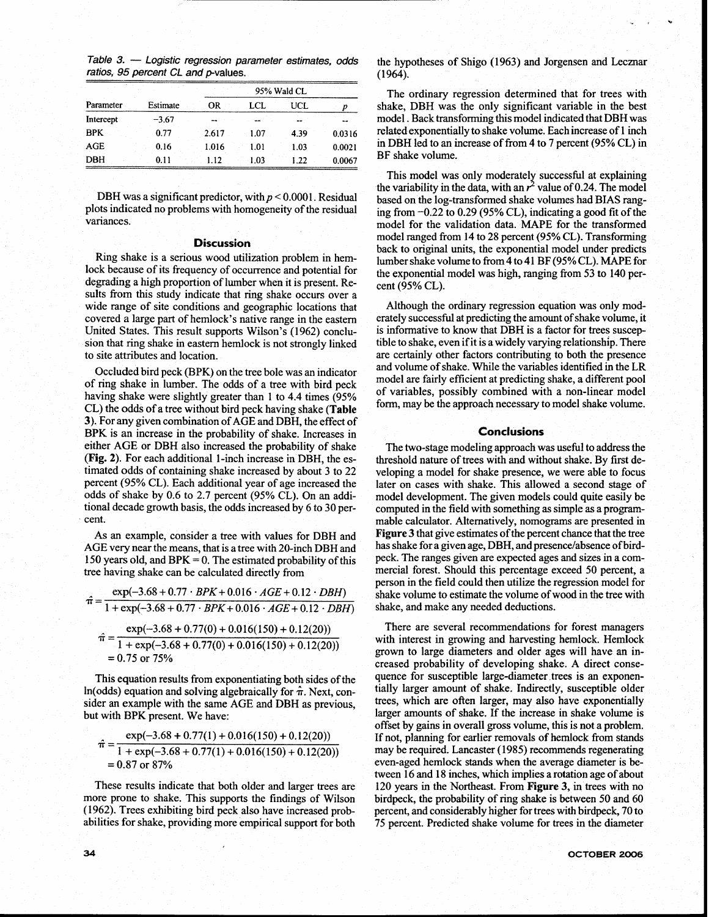Table 3. - Logistic regression parameter estimates, odds **ratios, 95 percent CL and pvalues.** 

| Parameter  | Estimate | OR    | LCL  | UCL. | p      |
|------------|----------|-------|------|------|--------|
| Intercept  | $-3.67$  |       |      | --   |        |
| <b>BPK</b> | 0.77     | 2.617 | 1.07 | 4.39 | 0.0316 |
| AGE        | 0.16     | 1.016 | 1.01 | 1.03 | 0.0021 |
| DBH        | 0.11     | 1.12  | 1.03 | 1.22 | 0.0067 |

DBH was a significant predictor, with  $p \le 0.0001$ . Residual plots indicated no problems with homogeneity of the residual variances.

# **Discussion**

Ring shake is a serious wood utilization problem in hemlock because of its frequency of occurrence and potential for degrading a high proportion of lumber when it is present. Results from this study indicate that ring shake occurs over a wide range of site conditions and geographic locations that covered a large part of hemlock's native range in the eastern United States. This result supports Wilson's (1962) conclusion that ring shake in eastern hemlock is not strongly linked to site attributes and location.

of ring shake in lumber. The odds of a tree with bird peck model are fairly efficient at predicting shake, a different pool having shake were slightly greater than 1 to 4.4 times (95% of variables, possibly combined with a non-linear model<br>CI the adds of a tree without hird need having shake (Tables, CI) form, may be the approach necessary to m CL) the odds of a tree without bird peck having shake (Table 3). For any given combination of AGE and DBH, the effect of BPK is an increase in the probability of shake. Increases in **Conciusions**  either AGE or DBH also increased the probability of shake (Fig. 2). For each additional I-inch increase in DBH, the estimated odds of containing shake increased by about 3 to 22 percent (95% CL). Each additional year of age increased the odds of shake by 0.6 to 2.7 percent (95% CL). On an additional decade growth basis, the odds increased by 6 to 30 percent.

As an example, consider a tree with values for DBH and AGE very near the means, that is a tree with 20-inch DBH and 150 years old, and  $BPK = 0$ . The estimated probability of this tree having shake can be calculated directly from

$$
\hat{\pi} = \frac{\exp(-3.68 + 0.77 \cdot BPK + 0.016 \cdot AGE + 0.12 \cdot DBH)}{1 + \exp(-3.68 + 0.77 \cdot BPK + 0.016 \cdot AGE + 0.12 \cdot DBH)}
$$

$$
\hat{\pi} = \frac{\exp(-3.68 + 0.77(0) + 0.016(150) + 0.12(20))}{1 + \exp(-3.68 + 0.77(0) + 0.016(150) + 0.12(20))}
$$

$$
= 0.75 \text{ or } 75\%
$$

This equation results from exponentiating both sides of the ln(odds) equation and solving algebraically for  $\hat{\pi}$ . Next, consider **an** example with the same AGE and DBH as previous, but with BPK present. We have:

$$
\hat{\pi} = \frac{\exp(-3.68 + 0.77(1) + 0.016(150) + 0.12(20))}{1 + \exp(-3.68 + 0.77(1) + 0.016(150) + 0.12(20))} = 0.87 \text{ or } 87\%
$$

These results indicate that both older and larger trees are more prone to shake. This supports the findings of Wilson (1 962). Trees exhibiting bird peck also have increased probabilities for shake, providing more empirical support for both the hypotheses of Shigo (1963) and Jorgensen and Lecznar  $(1964).$ 

 $\omega = \sqrt{\frac{2}{\pi}}$ 

The ordinary regression determined that for trees with shake, DBH was the only significant variable in the best model. Back transforming this model indicated that DBH was related exponentially to shake volume. Each increase of 1 inch in DBH led to an increase of from 4 to 7 percent (95% CL) in BF shake volume.

This model was only moderately successful at explaining the variability in the data, with an  $r^2$  value of 0.24. The model based on the log-transformed shake volumes had BIAS ranging from -0.22 to 0.29 (95% CL), indicating a good fit of the model for the validation data. MAPE for the transformed model ranged from 14 to 28 percent (95% CL). Transforming back to original units, the exponential model under predicts lumber shake volume to from 4 to 41 BF (95% CL). MAPE for the exponential model was high, ranging from 53 to 140 percent (95% CL).

Although the ordinary regression equation was only moderately successful at predicting the amount of shake volume, it is informative to know that DBH is a factor for trees suscep tible to shake, even if it is a widely varying relationship. There are certainly other factors contributing to both the presence and volume of shake. While the variables identified in the LR Occluded bird peck (BPK) on the tree bole was an indicator and volume of shake. While the variables identified in the LR<br>model are fairly efficient at predicting shake, a different pool

The two-stage modeling approach was useful to address the threshold nature of trees with and without shake. By first developing a model for shake presence, we were able to focus later on cases with shake. This allowed a second stage of model development. The given models could quite easily be computed in the field with something as simple as a programmable calculator. Alternatively, nomograms are presented in Figure 3 that give estimates of the percent chance that the tree has shake for a given age, DBH, and presence/absence of birdpeck. The ranges given are expected ages and sizes in a commercial forest. Should this percentage exceed 50 percent, a person in the field could then utilize the regression model for shake volume to estimate the volume of wood in the tree with shake, and make any needed deductions.

There are several recommendations for forest managers with interest in growing and harvesting hemlock. Hemlock grown to large diameters and older ages will have an increased probability of developing shake. **A** direct consequence for susceptible large-diameter trees is an exponentially larger amount of shake. Indirectly, susceptible older trees, which are often larger, may also have exponentially larger amounts of shake. If the increase in shake volume is offset by gains in overall gross volume, this is not a problem. If not, planning for earlier removals of hemlock from stands may be required. Lancaster (1985) recommends regenerating even-aged hemlock stands when the average diameter is between 16 and 18 inches, which implies a rotation age of about 120 years in the Northeast. From Figure 3, in trees with no birdpeck, the probability of ring shake is between 50 and 60 percent, and considerably higher for trees with birdpeck, 70 to 75 percent. Predicted shake volume for trees in the diameter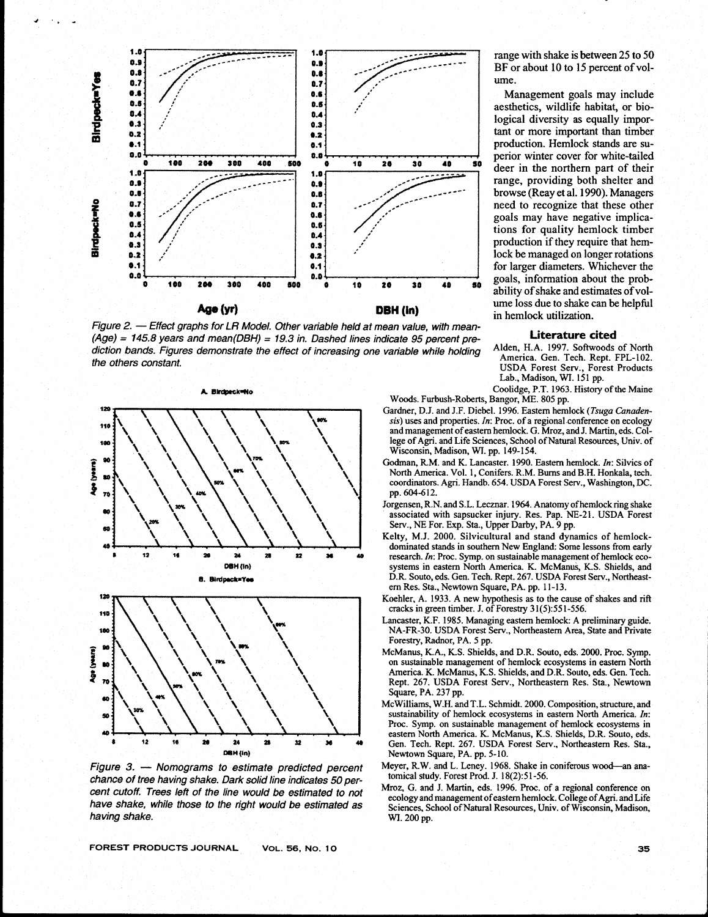

**(Age)** = **145.8 years and mean(D5H)** = **19.3 in. Dashed lines indicate 95 percent pre- Literature cited**  diction bands. Figures demonstrate the effect of increasing one variable while holding Alden, H.A. 1997. Softwoods of North the others constant. **the others constant. use Server Server Server Server Server Server Server Server Serv.** Forest Products **USDA** Forest Products



**chance of tree having shake. Dark solid line indicates 50 percent cutoff. Trees left of the line would be estimated to not have shake, while those to the right would be estimated as having shake.** 

**FOREST PRODUCTS JOURNAL VoL. 56,** No. **10** 

range with shake is between 25 to 50 BF or about 10 to 15 percent of volume.

Management goals may include aesthetics, wildlife habitat, or biological diversity as equally important or more important than timber production. Hemlock stands are superior winter cover for white-tailed deer in the northern part of their range, providing both shelter and browse (Reay et al. 1990). Managers need to recognize that these other goals may have negative implications for quality hemlock timber production if they require that hemlock be managed on longer rotations for larger diameters. Whichever the goals, information about the probability of shake and estimates of vol-**PBH (in) ume loss due to shake can be helpful** in hemlock utilization.

Lab., Madison, WI. 151 pp. Coolidge, P.T. 1963. History of the Maine

Woods. Furbush-Roberts, Bangor, ME. 805 pp.

- Gardner, D.J. and **J.F.** Diebel. 1996. Eastern hemlock (Tsuga Canadensis) uses and properties. In: Proc. of a regional conference on ecology and management of eastern hemlock. G. Mroz, and J. Martin, eds. College of Agri. and Life Sciences, School of Natural Resources, Univ. of Wisconsin, Madison, WI. pp. 149-154.
- Godman, RM. and K. Lancaster. 1990. Eastern hemlock. In: Silvics of North America. Vol. I, Conifers. R.M. Bums and B.H. Honkala, tech. coordinators. Agri. Handb. 654. USDA Forest Serv., Washington, **DC.**  pp. 604-612.
- Jorgensen, R.N. and S.L. Lecznar. 1964. Anatomy of hemlock ring shake associated with sapsucker injury. Res. Pap. NE-21. USDA Forest Serv., NE For. Exp. Sta., Upper Darby, PA. 9 pp.
- Kelty, M.J. 2000. Silvicultural and stand dynamics of hemlockdominated stands in southern New England: Some lessons from early research. *In*: Proc. Symp. on sustainable management of hemlock ecosystems in eastern North America. K. McManus, K.S. Shields, and D.R. Souto, eds. Gen. Tech. Rept. 267. USDA Forest Serv., Northeastern Res. Sta., Newtown Square, PA. pp. 11-13.
- Koehler, A. 1933. A new hypothesis as to the cause of shakes and rift cracks in green timber. J. of Forestry 3 1 (5):55 1-556.
- Lancaster, K.F. 1985. Managing eastern hemlock: **A** preliminary guide. NA-FR-30. USDA Forest Serv., Northeastern Area, State and Private Forestry, Radnor, PA. 5 pp.
- McManus, K.A., K.S. Shields, and D.R. Souto, eds. 2000. Proc. Symp. on sustainable management of hemlock ecosystems in eastern North America. K. McManus, K.S. Shields, and D.R. Souto, eds. Gen. Tech. Rept. 267. USDA Forest Serv., Northeastern Res. Sta., Newtown Square, PA. 237 pp.
- McWilliams, W.H. and T.L. Schmidt. 2000. Composition, structure, and sustainability of hemlock ecosystems in eastern North America. In: Proc. Symp. on sustainable management of hemlock ecosystems in eastern North America. K. McManus, K.S. Shields, D.R. Souto. **eds.**  Gen. Tech. Rept. 267. USDA Forest Serv., Northeastern Res. Sta., Newtown Square, PA. pp. 5-10.
- Meyer, R.W. and L. Leney. 1968. Shake in coniferous wood-an ana- tomical study. Forest Prod. **J.** 18(2):5 1-56.
- Mroz, G. and J. Martin, eds. 1996. Proc. of a regional conference on ecology and management ofeastem hemlock. College of Agri. and Life Sciences, School of Natural Resources, Univ. of Wisconsin, Madison, **WI.** 200 pp.